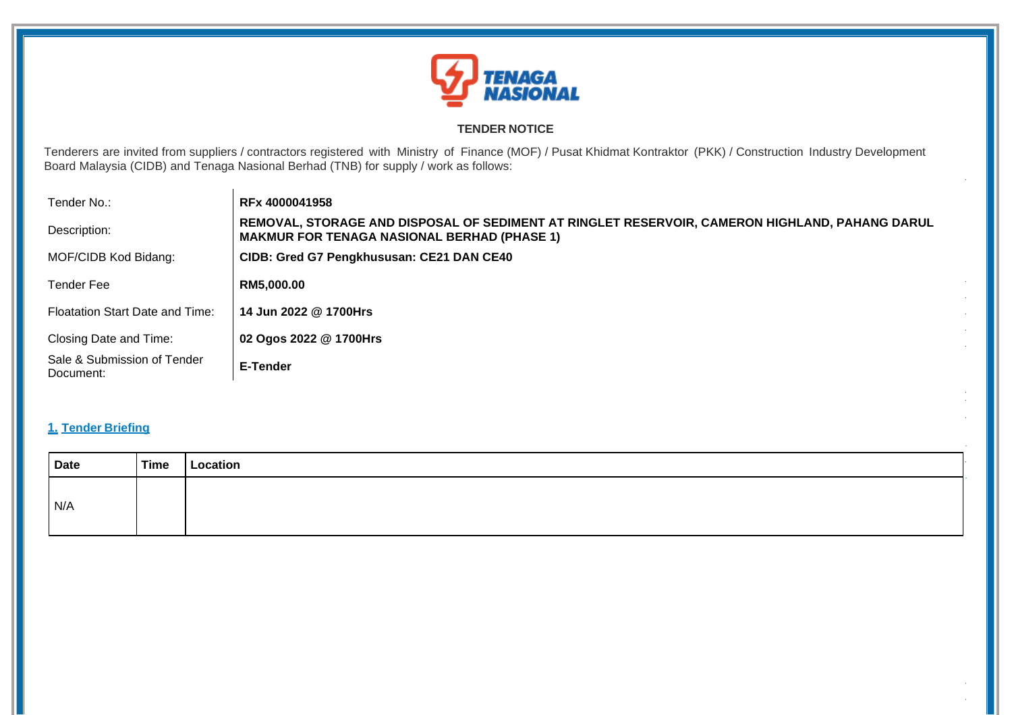

## **TENDER NOTICE**

Tenderers are invited from suppliers / contractors registered with Ministry of Finance (MOF) / Pusat Khidmat Kontraktor (PKK) / Construction Industry Development Board Malaysia (CIDB) and Tenaga Nasional Berhad (TNB) for supply / work as follows:

| Tender No.:                              | RFx 4000041958                                                                                                                                       |
|------------------------------------------|------------------------------------------------------------------------------------------------------------------------------------------------------|
| Description:                             | REMOVAL, STORAGE AND DISPOSAL OF SEDIMENT AT RINGLET RESERVOIR, CAMERON HIGHLAND, PAHANG DARUL<br><b>MAKMUR FOR TENAGA NASIONAL BERHAD (PHASE 1)</b> |
| MOF/CIDB Kod Bidang:                     | CIDB: Gred G7 Pengkhususan: CE21 DAN CE40                                                                                                            |
| Tender Fee                               | RM5,000.00                                                                                                                                           |
| Floatation Start Date and Time:          | 14 Jun 2022 @ 1700Hrs                                                                                                                                |
| Closing Date and Time:                   | 02 Ogos 2022 @ 1700Hrs                                                                                                                               |
| Sale & Submission of Tender<br>Document: | E-Tender                                                                                                                                             |

# **1. Tender Briefing**

| Date | Time | Location |
|------|------|----------|
|      |      |          |
| N/A  |      |          |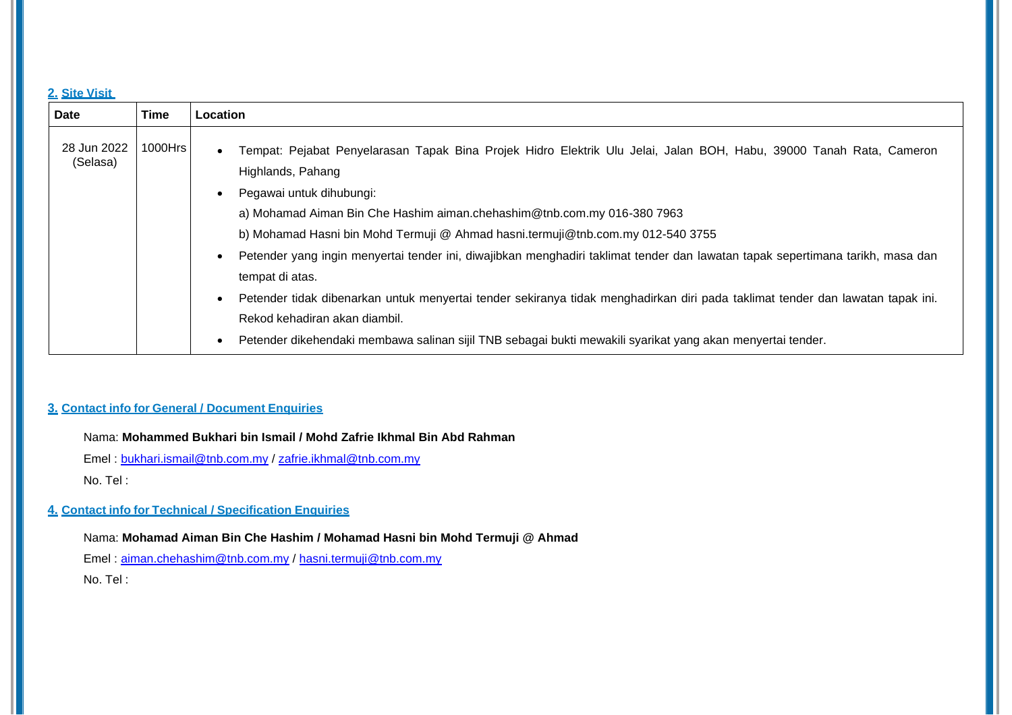## **2. Site Visit**

| Date                    | Time    | Location                                                                                                                                                                                                                                                                                                                                                                                                                                                                                                                                                                                                                                                                                                                                                                              |
|-------------------------|---------|---------------------------------------------------------------------------------------------------------------------------------------------------------------------------------------------------------------------------------------------------------------------------------------------------------------------------------------------------------------------------------------------------------------------------------------------------------------------------------------------------------------------------------------------------------------------------------------------------------------------------------------------------------------------------------------------------------------------------------------------------------------------------------------|
| 28 Jun 2022<br>(Selasa) | 1000Hrs | Tempat: Pejabat Penyelarasan Tapak Bina Projek Hidro Elektrik Ulu Jelai, Jalan BOH, Habu, 39000 Tanah Rata, Cameron<br>$\bullet$<br>Highlands, Pahang<br>Pegawai untuk dihubungi:<br>a) Mohamad Aiman Bin Che Hashim aiman.chehashim@tnb.com.my 016-380 7963<br>b) Mohamad Hasni bin Mohd Termuji @ Ahmad hasni.termuji@tnb.com.my 012-540 3755<br>Petender yang ingin menyertai tender ini, diwajibkan menghadiri taklimat tender dan lawatan tapak sepertimana tarikh, masa dan<br>tempat di atas.<br>Petender tidak dibenarkan untuk menyertai tender sekiranya tidak menghadirkan diri pada taklimat tender dan lawatan tapak ini.<br>Rekod kehadiran akan diambil.<br>Petender dikehendaki membawa salinan sijil TNB sebagai bukti mewakili syarikat yang akan menyertai tender. |

## **3. Contact info for General / Document Enquiries**

Nama: **Mohammed Bukhari bin Ismail / Mohd Zafrie Ikhmal Bin Abd Rahman**

Emel : [bukhari.ismail@tnb.com.my](mailto:bukhari.ismail@tnb.com.my) / [zafrie.ikhmal@tnb.com.my](mailto:zafrie.ikhmal@tnb.com.my)

No. Tel :

# **4. Contact info for Technical / Specification Enquiries**

Nama: **Mohamad Aiman Bin Che Hashim / Mohamad Hasni bin Mohd Termuji @ Ahmad**

Emel : [aiman.chehashim@tnb.com.my](mailto:aiman.chehashim@tnb.com.my) / [hasni.termuji@tnb.com.my](mailto:hasni.termuji@tnb.com.my) No. Tel :